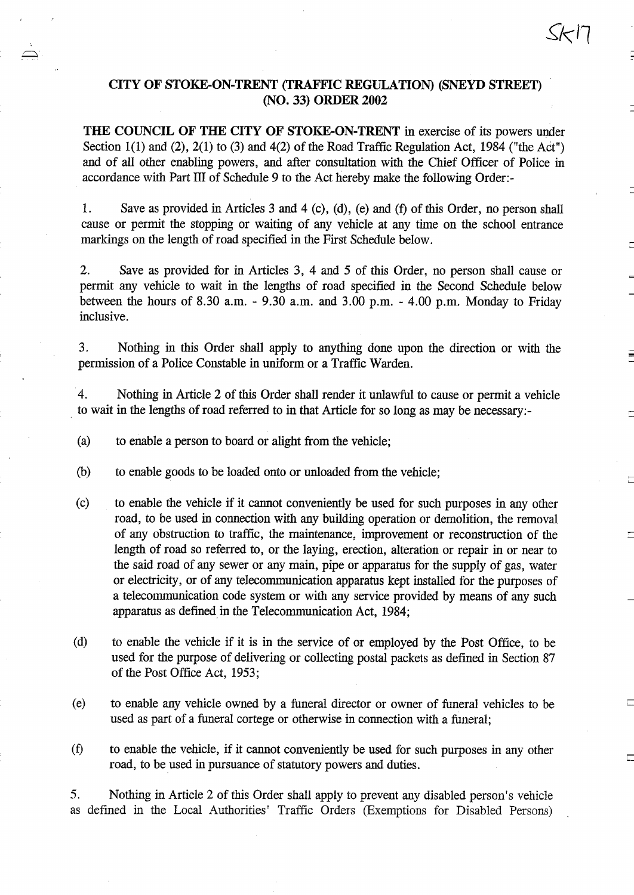### CITY OF STOKE-ON-TRENT (TRAFFIC REGULATION) (SNEYD STREET) (NO. 33) ORDER <sup>2002</sup>

THE COUNCIL OF THE CITY OF STOKE-ON-TRENT in exercise of its powers under Section 1(1) and (2), 2(1) to (3) and 4(2) of the Road Traffic Regulation Act, 1984 ("the Act") and of all other enabling powers, and after consultation with the Chief Officer of Police in accordance with Part <sup>111</sup> of Schedule 9 to the Act hereby make the following Order :-

<sup>1</sup> . Save as provided in Articles 3 and 4 (c), (d), (e) and (f) of this Order, no person shall cause or permit the stopping or waiting of any vehicle at any time on the school entrance markings on the length of road specified in the First Schedule below.

2. Save as provided for in Articles 3, 4 and 5 of this Order, no person shall cause or permit any vehicle to wait in the lengths of road specified in the Second Schedule below between the hours of 8.30 a.m.  $-$  9.30 a.m. and 3.00 p.m.  $-$  4.00 p.m. Monday to Friday inclusive.

3 . Nothing in this Order shall apply to anything done upon the direction or with the permission of a Police Constable in uniform or a Traffic Warden.

4 . Nothing in Article 2 of this Order shall render it unlawful to cause or permit a vehicle to wait in the lengths of road referred to in that Article for so long as may be necessary:-

- (a) to enable a person to board or alight from the vehicle;
- (b) to enable goods to be loaded onto or unloaded from the vehicle;
- (c) to enable the vehicle if it cannot conveniently be used for such purposes in any other road, to be used in connection with any building operation or demolition, the removal of any obstruction to traffic, the maintenance, improvement or reconstruction of the length of road so referred to, or the laying, erection, alteration or repair in or near to the said road of any sewer or any main, pipe or apparatus for the supply of gas, water or electricity, or of any telecommunication apparatus kept installed for the purposes of a telecommunication code system or with any service provided by means of any such apparatus as defined in the Telecommunication Act, 1984;
- (d) to enable the vehicle if it is in the service of or employed by the Post Office, to be used for the purpose of delivering or collecting postal packets as defined in Section 87 of the Post Office Act, 1953;
- (e) to enable any vehicle owned by a funeral director or owner of funeral vehicles to be used as part of a funeral cortege or otherwise in connection with a funeral;
- (fl to enable the vehicle, if it cannot conveniently be used for such purposes in any other road, to be used in pursuance of statutory powers and duties .

5 . Nothing in Article 2 of this Order shall apply to prevent any disabled person's vehicle as defined in the Local Authorities' Traffic Orders (Exemptions for Disabled Persons)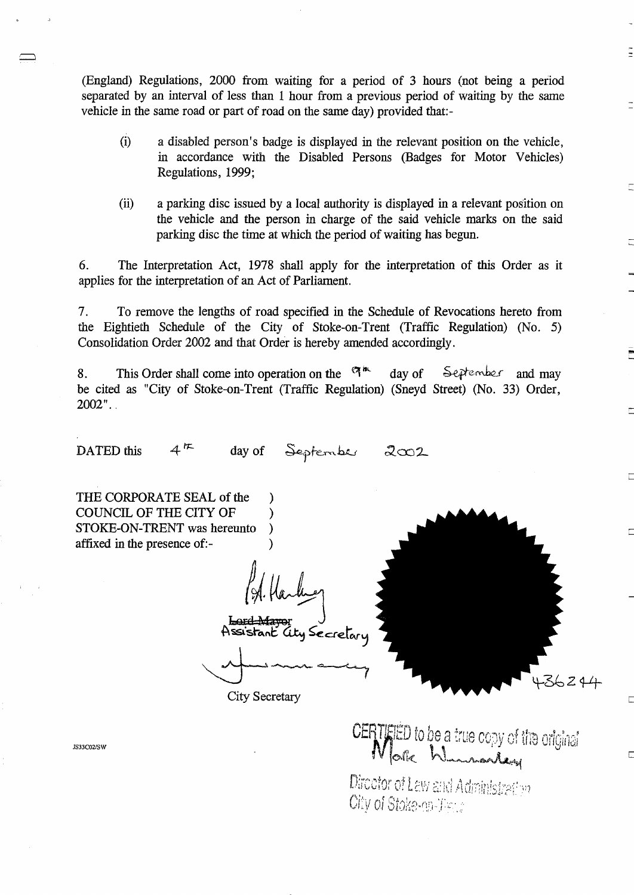(England) Regulations, 2000 from waiting for <sup>a</sup> period of 3 hours (not being a period separated by an interval of less than 1 hour from a previous period of waiting by the same vehicle in the same road or part of road on the same day) provided that:-

- (i) a disabled person's badge is displayed in the relevant position on the vehicle, in accordance with the Disabled Persons (Badges for Motor Vehicles) Regulations, 1999;
- (ii) a parking disc issued by a local authority is displayed in a relevant position on the vehicle and the person in charge of the said vehicle marks on the said parking disc the time at which the period of waiting has begun.

6 . The Interpretation Act, 1978 shall apply for the interpretation of this Order as it applies for the interpretation of an Act of Parliament.

7. To remove the lengths of road specified in the Schedule of Revocations hereto from the Eightieth Schedule of the City of Stoke-on-Trent (Traffic Regulation) (No. 5) Consolidation Order 2002 and that Order is hereby amended accordingly .

8. This Order shall come into operation on the  $\mathbb{R}^m$  day of September and may be cited as "City of Stoke-on-Trent (Traffic Regulation) (Sneyd Street) (No. 33) Order,  $2002"$ .

DATED this  $4^{\frac{1}{k}}$  day of September 2002

THE CORPORATE SEAL of the COUNCIL OF THE CITY OF STOKE-ON-TRENT was hereunto ) affixed in the presence of:- )

Assistant Lity Secretary

City Secretary



Г

IS33C02/SW

CERTATED to be a true copy of the original

Director of Law and Administrative City of Stoke-en-Time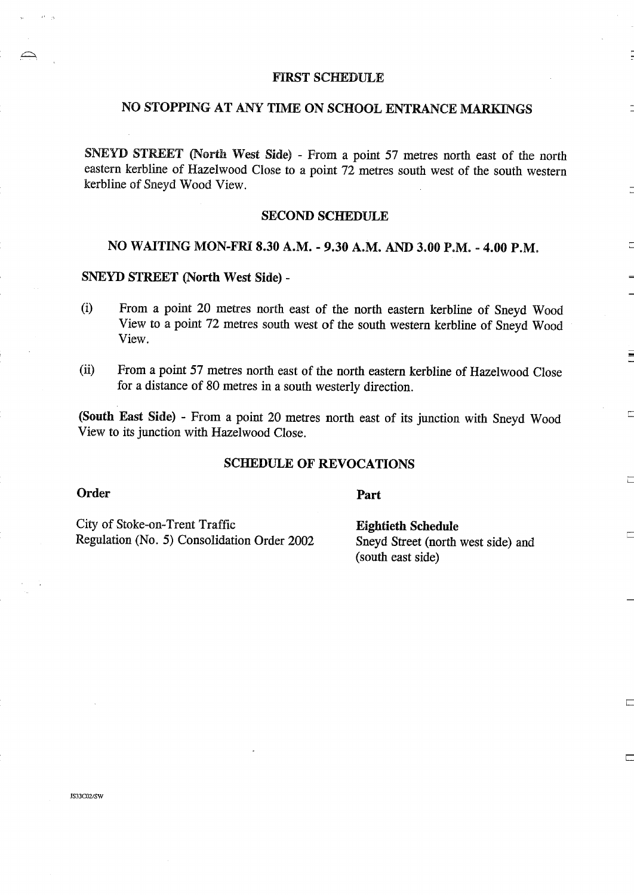### FIRST SCHEDULE

# NO STOPPING AT ANY TIME ON SCHOOL ENTRANCE MARKINGS

SNEYD STREET (North West Side) - From <sup>a</sup> point <sup>57</sup> metres north east of the north eastern kerbline of Hazelwood Close to a point 72 metres south west of the south western kerbline of Sneyd Wood View.

### SECOND SCHEDULE

## NO WAITING MON-FRI 8.30 A.M. - 9.30 A.M. AND <sup>3</sup> .00 P.M. - 4.00 P.M.

#### SNEYD STREET (North West Side) -

- From <sup>a</sup> point 20 metres north east of the north eastern kerbline of Sneyd Wood  $(i)$ View to <sup>a</sup> point 72 metres south west of the south western kerbline of Sneyd Wood View.
- (ii) From <sup>a</sup> point 57 metres north east of the north eastern kerbline of Hazelwood Close for a distance of 80 metres in a south westerly direction.

(South East Side) - From <sup>a</sup> point 20 metres north east of its junction with Sneyd Wood View to its junction with Hazelwood Close.

#### SCHEDULE OF REVOCATIONS

#### Order

Part

City of Stoke-on-Trent Traffic<br>Regulation (No. 5) Consolidation Order 2002 Sneyd Street (north west side) and Regulation (No. 5) Consolidation Order 2002

(south east side)

٣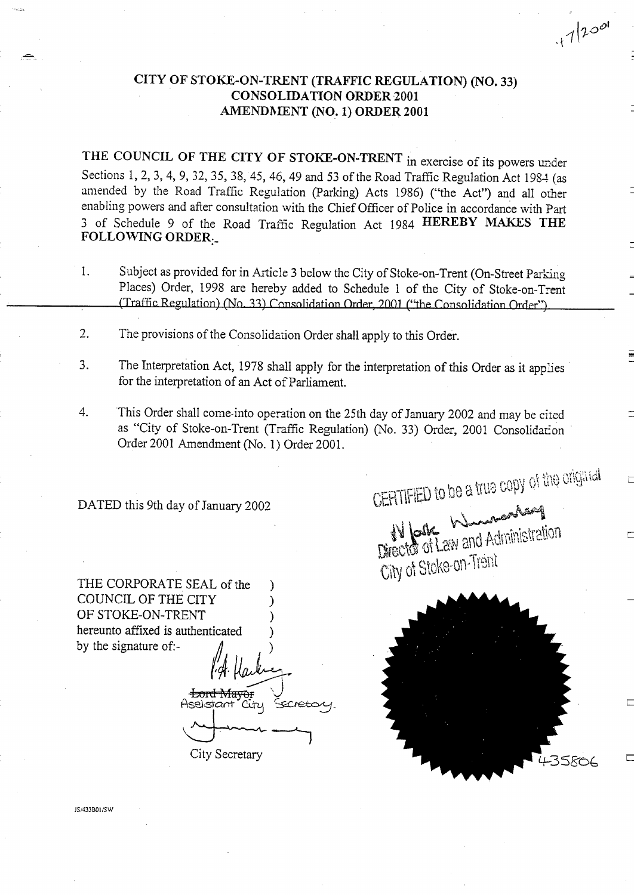## CITY OF STOKE-ON-TRENT (TRAFFIC REGULATION) (NO. 33) CONSOLIDATION ORDER <sup>2001</sup> AMENDMENT (NO. 1) ORDER <sup>2001</sup>

THE COUNCIL OF THE CITY OF STOKE-ON-TRENT in exercise of its powers under Sections 1, 2, 3, 4, 9, 32, 35, 38, 45, 46, 49 and 53 of the Road Traffic Regulation Act 1984 (as amended by the Road Traffic Regulation (Parking) Acts 1986) ("the Act") and all other enabling powers and after consultation with the Chief Officer of Police in accordance with Part <sup>3</sup> of Schedule <sup>9</sup> of the Road Traffic Regulation Act <sup>1984</sup> HEREBY MAKES THE FOLLOWING ORDER.-

- 1. Subject as provided for in Article 3 below the City of Stoke-on-Trent (On-Street Parking Places) Order, 1998 are hereby added to Schedule <sup>1</sup> of the City of Stoke-on-Trent (Traffic Regulation) (No. 33) Consolidation Order, 2001 ("the Consolidation Order").
- 2. The provisions of the Consolidation Order shall apply to this Order.
- 3 . The Interpretation Act, 1978 shall apply for the interpretation of this Order as it apples for the interpretation of an Act of Parliament.
- 4. This Order shall come-into operation on the 25th day of January 2002 and may be ciied as "City of Stoke-on-Trent (Traffic Regulation) (No. 33) Order, 2001 Consolidation Order 2001 Amendment (No. 1) Order 2001 .

DATED this 9th day of January 2002

THE CORPORATE SEAL of the COUNCIL OF THE CITY OF STOKE-ON-TRENT hereunto affixed is authenticated by the signature of:-

<del>Lord Mayo</del>r  $C_{\rm{t1}}$ Aseistant Fecreta City Secretary



CERTIFIED to be a true copy of the orighted

Director of Law and Administration

City of Stoke-on-Trent

 $112001$ 

)S/433B01/SW